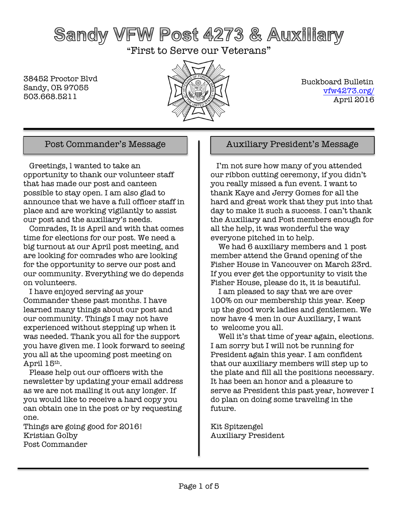# Sandy VFW Post 4273 & Auxiliary

"First to Serve our Veterans"

38452 Proctor Blvd Sandy, OR 97055 503.668.5211



 Buckboard Bulletin vfw4273.org/ April 2016

 Greetings, l wanted to take an opportunity to thank our volunteer staff that has made our post and canteen possible to stay open. I am also glad to announce that we have a full officer staff in place and are working vigilantly to assist our post and the auxiliary's needs.

 Comrades, It is April and with that comes time for elections for our post. We need a big turnout at our April post meeting, and are looking for comrades who are looking for the opportunity to serve our post and our community. Everything we do depends on volunteers.

 I have enjoyed serving as your Commander these past months. I have learned many things about our post and our community. Things I may not have experienced without stepping up when it was needed. Thank you all for the support you have given me. I look forward to seeing you all at the upcoming post meeting on April 15th.

 Please help out our officers with the newsletter by updating your email address as we are not mailing it out any longer. If you would like to receive a hard copy you can obtain one in the post or by requesting one.

Things are going good for 2016! Kristian Golby Post Commander

### Post Commander's Message Auxiliary President's Message

 I'm not sure how many of you attended our ribbon cutting ceremony, if you didn't you really missed a fun event. I want to thank Kaye and Jerry Gomes for all the hard and great work that they put into that day to make it such a success. I can't thank the Auxiliary and Post members enough for all the help, it was wonderful the way everyone pitched in to help.

 We had 6 auxiliary members and 1 post member attend the Grand opening of the Fisher House in Vancouver on March 23rd. If you ever get the opportunity to visit the Fisher House, please do it, it is beautiful.

 I am pleased to say that we are over 100% on our membership this year. Keep up the good work ladies and gentlemen. We now have 4 men in our Auxiliary, I want to welcome you all.

Well it's that time of year again, elections. I am sorry but I will not be running for President again this year. I am confident that our auxiliary members will step up to the plate and fill all the positions necessary. It has been an honor and a pleasure to serve as President this past year, however I do plan on doing some traveling in the future.

Kit Spitzengel Auxiliary President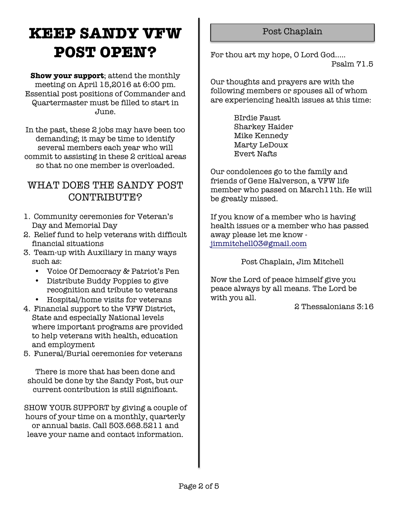## **KEEP SANDY VFW POST OPEN?**

**Show your support**; attend the monthly meeting on April 15,2016 at 6:00 pm. Essential post positions of Commander and Quartermaster must be filled to start in June.

In the past, these 2 jobs may have been too demanding; it may be time to identify several members each year who will commit to assisting in these 2 critical areas so that no one member is overloaded.

### WHAT DOES THE SANDY POST CONTRIBUTE?

- 1. Community ceremonies for Veteran's Day and Memorial Day
- 2. Relief fund to help veterans with difficult financial situations
- 3. Team-up with Auxiliary in many ways such as:
	- Voice Of Democracy & Patriot's Pen
	- Distribute Buddy Poppies to give recognition and tribute to veterans
	- Hospital/home visits for veterans
- 4. Financial support to the VFW District, State and especially National levels where important programs are provided to help veterans with health, education and employment
- 5. Funeral/Burial ceremonies for veterans

There is more that has been done and should be done by the Sandy Post, but our current contribution is still significant.

SHOW YOUR SUPPORT by giving a couple of hours of your time on a monthly, quarterly or annual basis. Call 503.668.5211 and leave your name and contact information.

### Post Chaplain

For thou art my hope, O Lord God.....

Psalm 71.5

Our thoughts and prayers are with the following members or spouses all of whom are experiencing health issues at this time:

> BIrdie Faust Sharkey Haider Mike Kennedy Marty LeDoux Evert Nafts

Our condolences go to the family and friends of Gene Halverson, a VFW life member who passed on March11th. He will be greatly missed.

If you know of a member who is having health issues or a member who has passed away please let me know jimmitchell03@gmail.com

Post Chaplain, Jim Mitchell

Now the Lord of peace himself give you peace always by all means. The Lord be with you all.

2 Thessalonians 3:16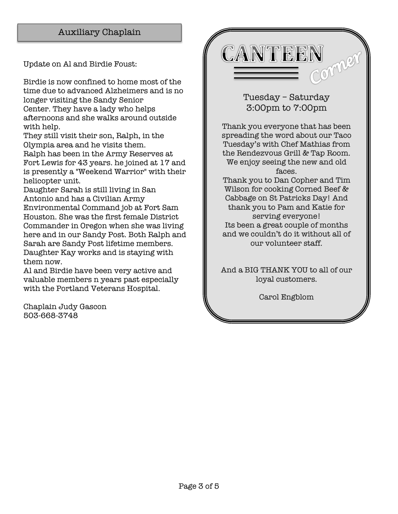### Auxiliary Chaplain

Update on Al and Birdie Foust:

Birdie is now confined to home most of the time due to advanced Alzheimers and is no longer visiting the Sandy Senior Center. They have a lady who helps afternoons and she walks around outside with help.

They still visit their son, Ralph, in the Olympia area and he visits them.

Ralph has been in the Army Reserves at Fort Lewis for 43 years. he joined at 17 and is presently a "Weekend Warrior" with their helicopter unit.

Daughter Sarah is still living in San Antonio and has a Civilian Army Environmental Command job at Fort Sam Houston. She was the first female District Commander in Oregon when she was living here and in our Sandy Post. Both Ralph and Sarah are Sandy Post lifetime members. Daughter Kay works and is staying with them now.

Al and Birdie have been very active and valuable members n years past especially with the Portland Veterans Hospital.

Chaplain Judy Gascon 503-668-3748

CANTEEN Comm

> Tuesday – Saturday 3:00pm to 7:00pm

Thank you everyone that has been spreading the word about our Taco Tuesday's with Chef Mathias from the Rendezvous Grill & Tap Room. We enjoy seeing the new and old faces.

Thank you to Dan Copher and Tim Wilson for cooking Corned Beef & Cabbage on St Patricks Day! And thank you to Pam and Katie for serving everyone! Its been a great couple of months and we couldn't do it without all of our volunteer staff.

And a BIG THANK YOU to all of our loyal customers.

Carol Engblom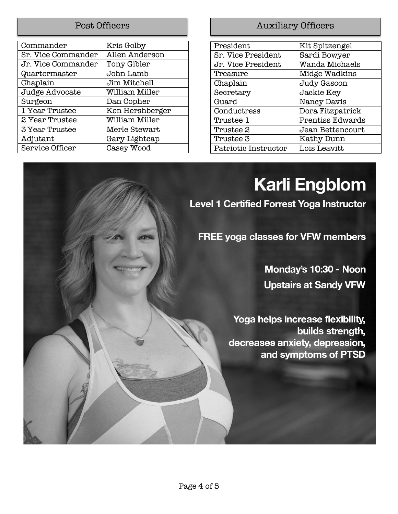| Kris Golby      |
|-----------------|
| Allen Anderson  |
| Tony Gibler     |
| John Lamb       |
| Jim Mitchell    |
| William Miller  |
| Dan Copher      |
| Ken Hershberger |
| William Miller  |
| Merle Stewart   |
| Gary Lightcap   |
| Casey Wood      |
|                 |

### Post Officers **Auxiliary Officers**

| President            | Kit Spitzengel          |
|----------------------|-------------------------|
| Sr. Vice President   | Sardi Bowyer            |
| Jr. Vice President   | Wanda Michaels          |
| Treasure             | Midge Wadkins           |
| Chaplain             | Judy Gascon             |
| Secretary            | Jackie Key              |
| Guard                | Nancy Davis             |
| Conductress          | Dora Fitzpatrick        |
| Trustee 1            | <b>Prentiss Edwards</b> |
| Trustee 2            | Jean Bettencourt        |
| Trustee 3            | Kathy Dunn              |
| Patriotic Instructor | Lois Leavitt            |

# **Karli Engblom**

**Level 1 Certified Forrest Yoga Instructor** 

FREE yoga classes for VFW members

Monday's 10:30 - Noon **Upstairs at Sandy VFW** 

Yoga helps increase flexibility, builds strength, decreases anxiety, depression, and symptoms of PTSD